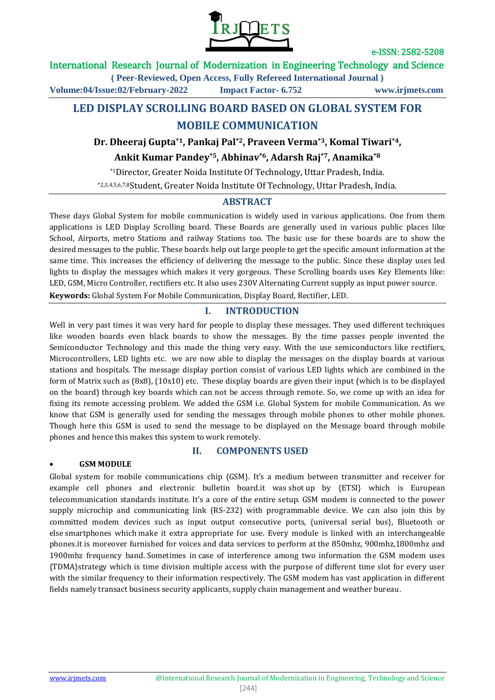

# International Research Journal of Modernization in Engineering Technology and Science

**( Peer-Reviewed, Open Access, Fully Refereed International Journal )**

**Volume:04/Issue:02/February-2022 Impact Factor- 6.752 www.irjmets.com**

# **LED DISPLAY SCROLLING BOARD BASED ON GLOBAL SYSTEM FOR MOBILE COMMUNICATION**

**Dr. Dheeraj Gupta\*1, Pankaj Pal\*2, Praveen Verma\*3, Komal Tiwari\*4,** 

**Ankit Kumar Pandey\*5, Abhinav\*6, Adarsh Raj\*7, Anamika\*8**

\*1Director, Greater Noida Institute Of Technology, Uttar Pradesh, India.

\*2,3,4,5,6,7,8Student, Greater Noida Institute Of Technology, Uttar Pradesh, India.

### **ABSTRACT**

These days Global System for mobile communication is widely used in various applications. One from them applications is LED Display Scrolling board. These Boards are generally used in various public places like School, Airports, metro Stations and railway Stations too. The basic use for these boards are to show the desired messages to the public. These boards help out large people to get the specific amount information at the same time. This increases the efficiency of delivering the message to the public. Since these display uses led lights to display the messages which makes it very gorgeous. These Scrolling boards uses Key Elements like: LED, GSM, Micro Controller, rectifiers etc. It also uses 230V Alternating Current supply as input power source.

**Keywords:** Global System For Mobile Communication, Display Board, Rectifier, LED.

# **I. INTRODUCTION**

Well in very past times it was very hard for people to display these messages. They used different techniques like wooden boards even black boards to show the messages. By the time passes people invented the Semiconductor Technology and this made the thing very easy. With the use semiconductors like rectifiers, Microcontrollers, LED lights etc. we are now able to display the messages on the display boards at various stations and hospitals. The message display portion consist of various LED lights which are combined in the form of Matrix such as (8x8), (10x10) etc. These display boards are given their input (which is to be displayed on the board) through key boards which can not be access through remote. So, we come up with an idea for fixing its remote accessing problem. We added the GSM i.e. Global System for mobile Communication. As we know that GSM is generally used for sending the messages through mobile phones to other mobile phones. Though here this GSM is used to send the message to be displayed on the Message board through mobile phones and hence this makes this system to work remotely.

**II. COMPONENTS USED**

#### **GSM MODULE**

Global system for mobile communications chip {GSM}. It's a medium between transmitter and receiver for example cell phones and electronic bulletin board.it was shot up by {ETSI} which is European telecommunication standards institute. It's a core of the entire setup. GSM modem is connected to the power supply microchip and communicating link (RS-232) with programmable device. We can also join this by committed modem devices such as input output consecutive ports, {universal serial bus}, Bluetooth or else smartphones which make it extra appropriate for use. Every module is linked with an interchangeable phones.it is moreover furnished for voices and data services to perform at the 850mhz, 900mhz,1800mhz and 1900mhz frequency band. Sometimes in case of interference among two information the GSM modem uses {TDMA}strategy which is time division multiple access with the purpose of different time slot for every user with the similar frequency to their information respectively. The GSM modem has vast application in different fields namely transact business security applicants, supply chain management and weather bureau.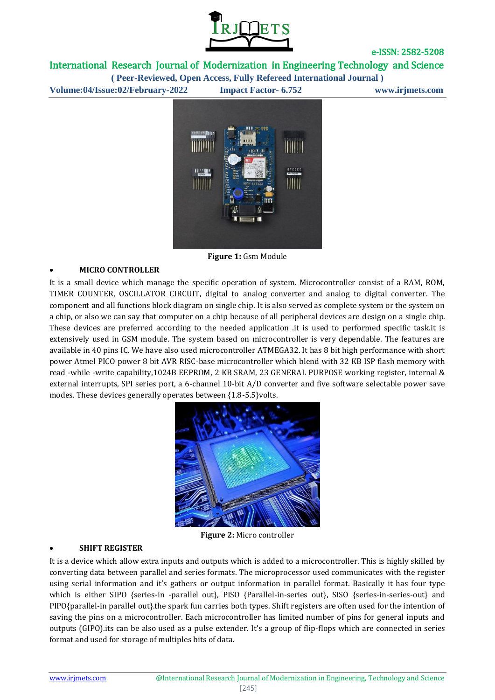

International Research Journal of Modernization in Engineering Technology and Science **( Peer-Reviewed, Open Access, Fully Refereed International Journal )**

**Volume:04/Issue:02/February-2022 Impact Factor- 6.752 www.irjmets.com**



**Figure 1:** Gsm Module

### **MICRO CONTROLLER**

It is a small device which manage the specific operation of system. Microcontroller consist of a RAM, ROM, TIMER COUNTER, OSCILLATOR CIRCUIT, digital to analog converter and analog to digital converter. The component and all functions block diagram on single chip. It is also served as complete system or the system on a chip, or also we can say that computer on a chip because of all peripheral devices are design on a single chip. These devices are preferred according to the needed application .it is used to performed specific task.it is extensively used in GSM module. The system based on microcontroller is very dependable. The features are available in 40 pins IC. We have also used microcontroller ATMEGA32. It has 8 bit high performance with short power Atmel PICO power 8 bit AVR RISC-base microcontroller which blend with 32 KB ISP flash memory with read -while -write capability,1024B EEPROM, 2 KB SRAM, 23 GENERAL PURPOSE working register, internal & external interrupts, SPI series port, a 6-channel 10-bit A/D converter and five software selectable power save modes. These devices generally operates between {1.8-5.5}volts.



**Figure 2:** Micro controller

### **SHIFT REGISTER**

It is a device which allow extra inputs and outputs which is added to a microcontroller. This is highly skilled by converting data between parallel and series formats. The microprocessor used communicates with the register using serial information and it's gathers or output information in parallel format. Basically it has four type which is either SIPO {series-in -parallel out}, PISO {Parallel-in-series out}, SISO {series-in-series-out} and PIPO{parallel-in parallel out}.the spark fun carries both types. Shift registers are often used for the intention of saving the pins on a microcontroller. Each microcontroller has limited number of pins for general inputs and outputs (GIPO).its can be also used as a pulse extender. It's a group of flip-flops which are connected in series format and used for storage of multiples bits of data.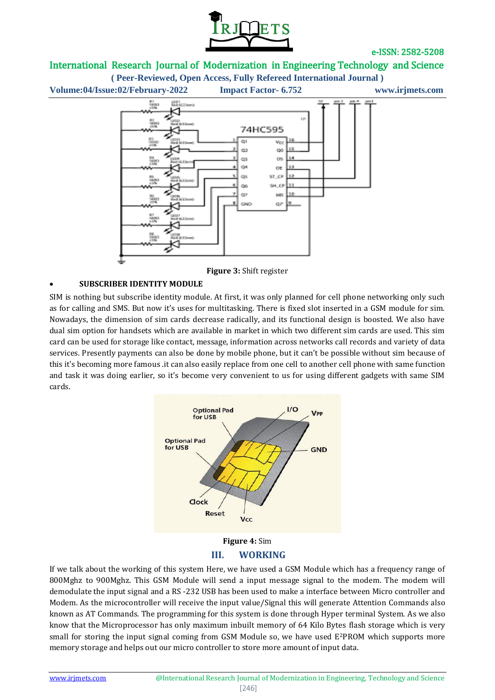

# International Research Journal of Modernization in Engineering Technology and Science

**( Peer-Reviewed, Open Access, Fully Refereed International Journal )**



**Figure 3:** Shift register

## **SUBSCRIBER IDENTITY MODULE**

SIM is nothing but subscribe identity module. At first, it was only planned for cell phone networking only such as for calling and SMS. But now it's uses for multitasking. There is fixed slot inserted in a GSM module for sim. Nowadays, the dimension of sim cards decrease radically, and its functional design is boosted. We also have dual sim option for handsets which are available in market in which two different sim cards are used. This sim card can be used for storage like contact, message, information across networks call records and variety of data services. Presently payments can also be done by mobile phone, but it can't be possible without sim because of this it's becoming more famous .it can also easily replace from one cell to another cell phone with same function and task it was doing earlier, so it's become very convenient to us for using different gadgets with same SIM cards.



**III. WORKING**

If we talk about the working of this system Here, we have used a GSM Module which has a frequency range of 800Mghz to 900Mghz. This GSM Module will send a input message signal to the modem. The modem will demodulate the input signal and a RS -232 USB has been used to make a interface between Micro controller and Modem. As the microcontroller will receive the input value/Signal this will generate Attention Commands also known as AT Commands. The programming for this system is done through Hyper terminal System. As we also know that the Microprocessor has only maximum inbuilt memory of 64 Kilo Bytes flash storage which is very small for storing the input signal coming from GSM Module so, we have used E2PROM which supports more memory storage and helps out our micro controller to store more amount of input data.